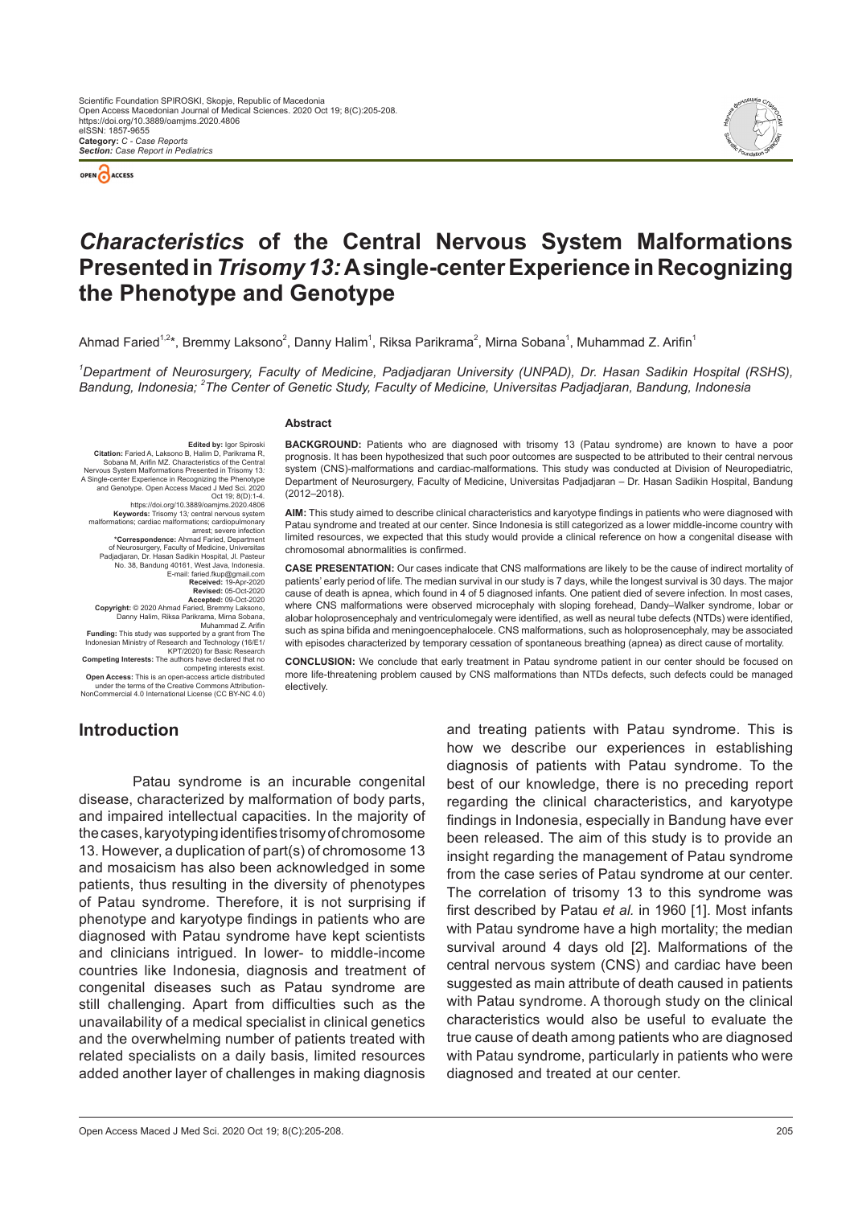



# *Characteristics* **of the Central Nervous System Malformations Presented in** *Trisomy 13:***A single-center Experience in Recognizing the Phenotype and Genotype**

Ahmad Faried $^{1,2*}$ , Bremmy Laksono $^2$ , Danny Halim $^1$ , Riksa Parikrama $^2$ , Mirna Sobana $^1$ , Muhammad Z. Arifin $^1$ 

*1 Department of Neurosurgery, Faculty of Medicine, Padjadjaran University (UNPAD), Dr. Hasan Sadikin Hospital (RSHS), Bandung, Indonesia; <sup>2</sup> The Center of Genetic Study, Faculty of Medicine, Universitas Padjadjaran, Bandung, Indonesia*

#### **Abstract**

**Citation:** Faried A, Laksono B, Halim D, Parikrama R,<br>Sobana M, Arifin MZ. Characteristics of the Central<br>Nervous System Malformations Presented in Trisomy 13:<br>Nervous System Malformations Presented in Trisomy 13: A Single-center Experience in Recognizing the Phenotype and Genotype. Open Access Maced J Med Sci. 2020 Oct 19; 8(D):1-4. https://doi.org/10.3889/oamjms.2020.4806<br>**Keywords:** Trisomy 13*;* central nervous system<br>malformations; cardiac malformations; cardiopulmonary<br>arrest; severe infection **\*Correspondence:** Ahmad Faried, Department of Neurosurgery, Faculty of Medicine, Universitas Padjadjaran, Dr. Hasan Sadikin Hospital, Jl. Pasteur No. 38, Bandung 40161, West Java, Indonesia.<br>E-mail: faried.fkup@gmail.com<br>**Received:** 19-Apr-2020<br>**Revised:** 05-Oct-2020<br>**Accepted:** 09-Oct-2020 **Copyright:** © 2020 Ahmad Faried, Bremmy Laksono, Danny Halim, Riksa Parikrama, Mirna Sobana, Muhammad Z. Arifin<br>**Funding:** This study was supported by a grant from The<br>Indonesian Ministry of Research and Technology (16/E1/<br>KPT/2020) for Basic Research

**Competing Interests:** The authors have declared that no

competing interests exist. **Open Access:** This is an open-access article distributed under the terms of the Creative Commons Attribution-

ms of the Creative Commons Attribution NonCommercial 4.0 International License (CC BY-NC 4.0)

# **Introduction**

Patau syndrome is an incurable congenital disease, characterized by malformation of body parts, and impaired intellectual capacities. In the majority of the cases, karyotyping identifies trisomy of chromosome 13. However, a duplication of part(s) of chromosome 13 and mosaicism has also been acknowledged in some patients, thus resulting in the diversity of phenotypes of Patau syndrome. Therefore, it is not surprising if phenotype and karyotype findings in patients who are diagnosed with Patau syndrome have kept scientists and clinicians intrigued. In lower- to middle-income countries like Indonesia, diagnosis and treatment of congenital diseases such as Patau syndrome are still challenging. Apart from difficulties such as the unavailability of a medical specialist in clinical genetics and the overwhelming number of patients treated with related specialists on a daily basis, limited resources added another layer of challenges in making diagnosis

**BACKGROUND:** Patients who are diagnosed with trisomy 13 (Patau syndrome) are known to have a poor prognosis. It has been hypothesized that such poor outcomes are suspected to be attributed to their central nervous system (CNS)-malformations and cardiac-malformations. This study was conducted at Division of Neuropediatric, Department of Neurosurgery, Faculty of Medicine, Universitas Padjadjaran – Dr. Hasan Sadikin Hospital, Bandung (2012–2018).

**AIM:** This study aimed to describe clinical characteristics and karyotype findings in patients who were diagnosed with Patau syndrome and treated at our center. Since Indonesia is still categorized as a lower middle-income country with limited resources, we expected that this study would provide a clinical reference on how a congenital disease with chromosomal abnormalities is confirmed.

**CASE PRESENTATION:** Our cases indicate that CNS malformations are likely to be the cause of indirect mortality of patients' early period of life. The median survival in our study is 7 days, while the longest survival is 30 days. The major cause of death is apnea, which found in 4 of 5 diagnosed infants. One patient died of severe infection. In most cases, where CNS malformations were observed microcephaly with sloping forehead, Dandy–Walker syndrome, lobar or alobar holoprosencephaly and ventriculomegaly were identified, as well as neural tube defects (NTDs) were identified, such as spina bifida and meningoencephalocele. CNS malformations, such as holoprosencephaly, may be associated with episodes characterized by temporary cessation of spontaneous breathing (apnea) as direct cause of mortality.

**CONCLUSION:** We conclude that early treatment in Patau syndrome patient in our center should be focused on more life-threatening problem caused by CNS malformations than NTDs defects, such defects could be managed electively.

> and treating patients with Patau syndrome. This is how we describe our experiences in establishing diagnosis of patients with Patau syndrome. To the best of our knowledge, there is no preceding report regarding the clinical characteristics, and karyotype findings in Indonesia, especially in Bandung have ever been released. The aim of this study is to provide an insight regarding the management of Patau syndrome from the case series of Patau syndrome at our center. The correlation of trisomy 13 to this syndrome was first described by Patau *et al.* in 1960 [1]. Most infants with Patau syndrome have a high mortality; the median survival around 4 days old [2]. Malformations of the central nervous system (CNS) and cardiac have been suggested as main attribute of death caused in patients with Patau syndrome. A thorough study on the clinical characteristics would also be useful to evaluate the true cause of death among patients who are diagnosed with Patau syndrome, particularly in patients who were diagnosed and treated at our center.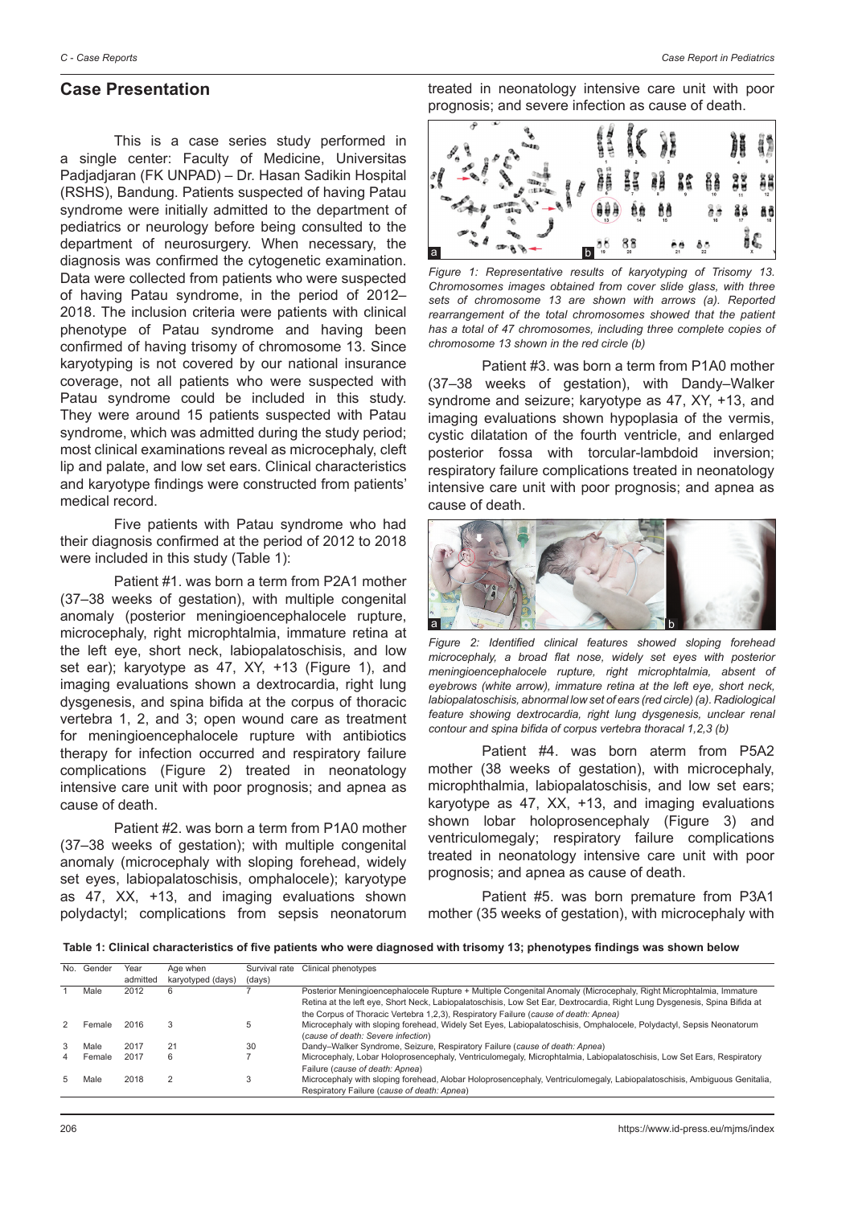#### **Case Presentation**

This is a case series study performed in a single center: Faculty of Medicine, Universitas Padjadjaran (FK UNPAD) – Dr. Hasan Sadikin Hospital (RSHS), Bandung. Patients suspected of having Patau syndrome were initially admitted to the department of pediatrics or neurology before being consulted to the department of neurosurgery. When necessary, the diagnosis was confirmed the cytogenetic examination. Data were collected from patients who were suspected of having Patau syndrome, in the period of 2012– 2018. The inclusion criteria were patients with clinical phenotype of Patau syndrome and having been confirmed of having trisomy of chromosome 13. Since karyotyping is not covered by our national insurance coverage, not all patients who were suspected with Patau syndrome could be included in this study. They were around 15 patients suspected with Patau syndrome, which was admitted during the study period; most clinical examinations reveal as microcephaly, cleft lip and palate, and low set ears. Clinical characteristics and karyotype findings were constructed from patients' medical record.

Five patients with Patau syndrome who had their diagnosis confirmed at the period of 2012 to 2018 were included in this study (Table 1):

Patient #1. was born a term from P2A1 mother (37–38 weeks of gestation), with multiple congenital anomaly (posterior meningioencephalocele rupture, microcephaly, right microphtalmia, immature retina at the left eye, short neck, labiopalatoschisis, and low set ear); karyotype as 47, XY, +13 (Figure 1), and imaging evaluations shown a dextrocardia, right lung dysgenesis, and spina bifida at the corpus of thoracic vertebra 1, 2, and 3; open wound care as treatment for meningioencephalocele rupture with antibiotics therapy for infection occurred and respiratory failure complications (Figure 2) treated in neonatology intensive care unit with poor prognosis; and apnea as cause of death.

Patient #2. was born a term from P1A0 mother (37–38 weeks of gestation); with multiple congenital anomaly (microcephaly with sloping forehead, widely set eyes, labiopalatoschisis, omphalocele); karyotype as 47, XX, +13, and imaging evaluations shown polydactyl; complications from sepsis neonatorum treated in neonatology intensive care unit with poor prognosis; and severe infection as cause of death.



*Figure 1: Representative results of karyotyping of Trisomy 13. Chromosomes images obtained from cover slide glass, with three sets of chromosome 13 are shown with arrows (a). Reported rearrangement of the total chromosomes showed that the patient has a total of 47 chromosomes, including three complete copies of chromosome 13 shown in the red circle (b)*

Patient #3. was born a term from P1A0 mother (37–38 weeks of gestation), with Dandy–Walker syndrome and seizure; karyotype as 47, XY, +13, and imaging evaluations shown hypoplasia of the vermis, cystic dilatation of the fourth ventricle, and enlarged posterior fossa with torcular-lambdoid inversion; respiratory failure complications treated in neonatology intensive care unit with poor prognosis; and apnea as cause of death.



*Figure 2: Identified clinical features showed sloping forehead microcephaly, a broad flat nose, widely set eyes with posterior meningioencephalocele rupture, right microphtalmia, absent of eyebrows (white arrow), immature retina at the left eye, short neck, labiopalatoschisis, abnormal low set of ears (red circle) (a). Radiological feature showing dextrocardia, right lung dysgenesis, unclear renal contour and spina bifida of corpus vertebra thoracal 1,2,3 (b)*

Patient #4. was born aterm from P5A2 mother (38 weeks of gestation), with microcephaly, microphthalmia, labiopalatoschisis, and low set ears; karyotype as 47, XX, +13, and imaging evaluations shown lobar holoprosencephaly (Figure 3) and ventriculomegaly; respiratory failure complications treated in neonatology intensive care unit with poor prognosis; and apnea as cause of death.

Patient #5. was born premature from P3A1 mother (35 weeks of gestation), with microcephaly with

Table 1: Clinical characteristics of five patients who were diagnosed with trisomy 13; phenotypes findings was shown below

| No. | Gender | Year     | Age when          | Survival rate | Clinical phenotypes                                                                                                       |
|-----|--------|----------|-------------------|---------------|---------------------------------------------------------------------------------------------------------------------------|
|     |        | admitted | karyotyped (days) | (days)        |                                                                                                                           |
|     | Male   | 2012     | 6                 |               | Posterior Meningioencephalocele Rupture + Multiple Congenital Anomaly (Microcephaly, Right Microphtalmia, Immature        |
|     |        |          |                   |               | Retina at the left eye, Short Neck, Labiopalatoschisis, Low Set Ear, Dextrocardia, Right Lung Dysgenesis, Spina Bifida at |
|     |        |          |                   |               | the Corpus of Thoracic Vertebra 1,2,3), Respiratory Failure (cause of death: Apnea)                                       |
|     | Female | 2016     | 3                 |               | Microcephaly with sloping forehead, Widely Set Eyes, Labiopalatoschisis, Omphalocele, Polydactyl, Sepsis Neonatorum       |
|     |        |          |                   |               | (cause of death: Severe infection)                                                                                        |
|     | Male   | 2017     | 21                | 30            | Dandy–Walker Syndrome, Seizure, Respiratory Failure (cause of death: Apnea)                                               |
| 4   | Female | 2017     | 6                 |               | Microcephaly, Lobar Holoprosencephaly, Ventriculomegaly, Microphtalmia, Labiopalatoschisis, Low Set Ears, Respiratory     |
|     |        |          |                   |               | Failure (cause of death: Apnea)                                                                                           |
| 5   | Male   | 2018     |                   |               | Microcephaly with sloping forehead, Alobar Holoprosencephaly, Ventriculomegaly, Labiopalatoschisis, Ambiguous Genitalia,  |
|     |        |          |                   |               | Respiratory Failure (cause of death: Apnea)                                                                               |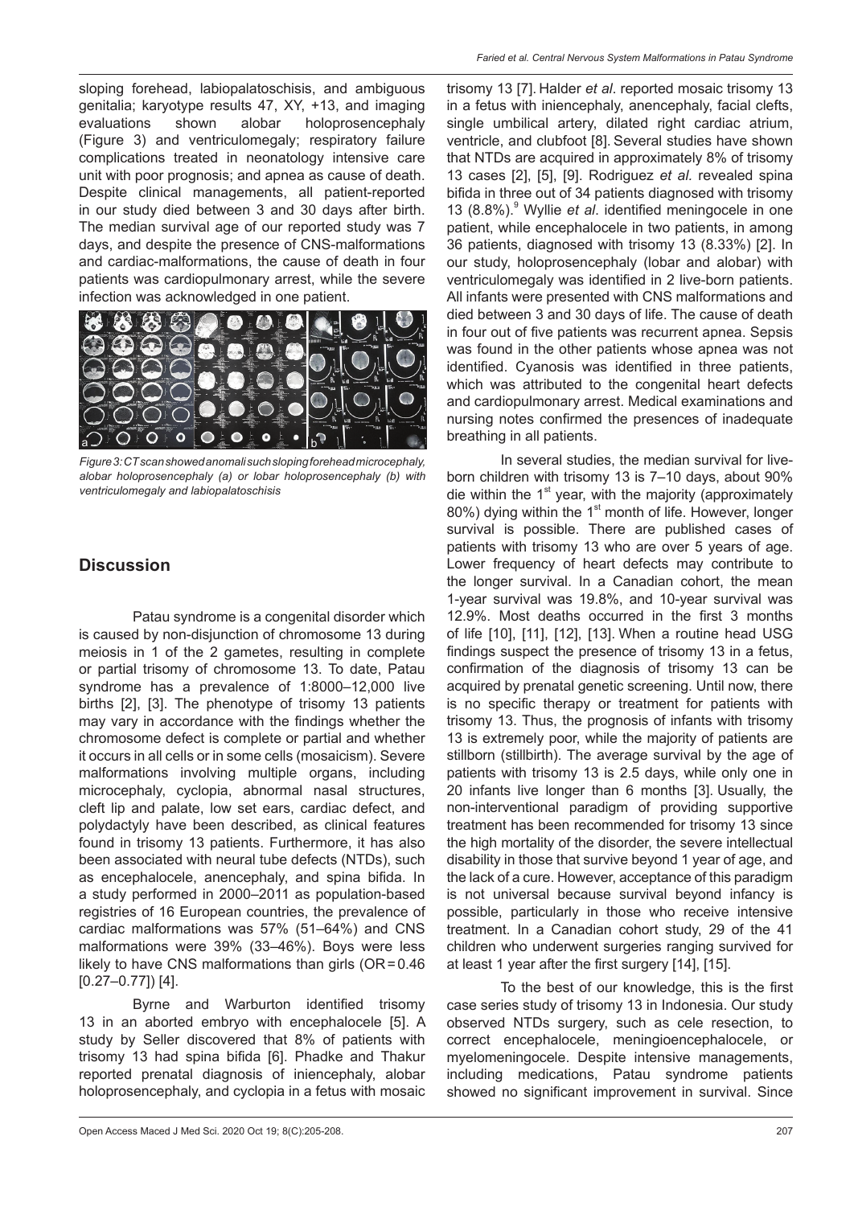sloping forehead, labiopalatoschisis, and ambiguous genitalia; karyotype results 47, XY, +13, and imaging evaluations shown alobar holoprosencephaly (Figure 3) and ventriculomegaly; respiratory failure complications treated in neonatology intensive care unit with poor prognosis; and apnea as cause of death. Despite clinical managements, all patient-reported in our study died between 3 and 30 days after birth. The median survival age of our reported study was 7 days, and despite the presence of CNS-malformations and cardiac-malformations, the cause of death in four patients was cardiopulmonary arrest, while the severe infection was acknowledged in one patient.



*Figure 3: CT scan showed anomali such sloping forehead microcephaly, alobar holoprosencephaly (a) or lobar holoprosencephaly (b) with ventriculomegaly and labiopalatoschisis*

### **Discussion**

Patau syndrome is a congenital disorder which is caused by non-disjunction of chromosome 13 during meiosis in 1 of the 2 gametes, resulting in complete or partial trisomy of chromosome 13. To date, Patau syndrome has a prevalence of 1:8000–12,000 live births [2], [3]. The phenotype of trisomy 13 patients may vary in accordance with the findings whether the chromosome defect is complete or partial and whether it occurs in all cells or in some cells (mosaicism). Severe malformations involving multiple organs, including microcephaly, cyclopia, abnormal nasal structures, cleft lip and palate, low set ears, cardiac defect, and polydactyly have been described, as clinical features found in trisomy 13 patients. Furthermore, it has also been associated with neural tube defects (NTDs), such as encephalocele, anencephaly, and spina bifida. In a study performed in 2000–2011 as population-based registries of 16 European countries, the prevalence of cardiac malformations was 57% (51–64%) and CNS malformations were 39% (33–46%). Boys were less likely to have CNS malformations than girls  $(OR=0.46$ [0.27–0.77]) [4].

Byrne and Warburton identified trisomy 13 in an aborted embryo with encephalocele [5]. A study by Seller discovered that 8% of patients with trisomy 13 had spina bifida [6]. Phadke and Thakur reported prenatal diagnosis of iniencephaly, alobar holoprosencephaly, and cyclopia in a fetus with mosaic trisomy 13 [7]. Halder *et al*. reported mosaic trisomy 13 in a fetus with iniencephaly, anencephaly, facial clefts, single umbilical artery, dilated right cardiac atrium, ventricle, and clubfoot [8]. Several studies have shown that NTDs are acquired in approximately 8% of trisomy 13 cases [2], [5], [9]. Rodriguez *et al.* revealed spina bifida in three out of 34 patients diagnosed with trisomy 13 (8.8%).<sup>9</sup> Wyllie *et al*. identified meningocele in one patient, while encephalocele in two patients, in among 36 patients, diagnosed with trisomy 13 (8.33%) [2]. In our study, holoprosencephaly (lobar and alobar) with ventriculomegaly was identified in 2 live-born patients. All infants were presented with CNS malformations and died between 3 and 30 days of life. The cause of death in four out of five patients was recurrent apnea. Sepsis was found in the other patients whose apnea was not identified. Cyanosis was identified in three patients, which was attributed to the congenital heart defects and cardiopulmonary arrest. Medical examinations and nursing notes confirmed the presences of inadequate breathing in all patients.

In several studies, the median survival for liveborn children with trisomy 13 is 7–10 days, about 90% die within the  $1<sup>st</sup>$  year, with the majority (approximately 80%) dying within the  $1<sup>st</sup>$  month of life. However, longer survival is possible. There are published cases of patients with trisomy 13 who are over 5 years of age. Lower frequency of heart defects may contribute to the longer survival. In a Canadian cohort, the mean 1-year survival was 19.8%, and 10-year survival was 12.9%. Most deaths occurred in the first 3 months of life [10], [11], [12], [13]. When a routine head USG findings suspect the presence of trisomy 13 in a fetus, confirmation of the diagnosis of trisomy 13 can be acquired by prenatal genetic screening. Until now, there is no specific therapy or treatment for patients with trisomy 13. Thus, the prognosis of infants with trisomy 13 is extremely poor, while the majority of patients are stillborn (stillbirth). The average survival by the age of patients with trisomy 13 is 2.5 days, while only one in 20 infants live longer than 6 months [3]. Usually, the non-interventional paradigm of providing supportive treatment has been recommended for trisomy 13 since the high mortality of the disorder, the severe intellectual disability in those that survive beyond 1 year of age, and the lack of a cure. However, acceptance of this paradigm is not universal because survival beyond infancy is possible, particularly in those who receive intensive treatment. In a Canadian cohort study, 29 of the 41 children who underwent surgeries ranging survived for at least 1 year after the first surgery [14], [15].

To the best of our knowledge, this is the first case series study of trisomy 13 in Indonesia. Our study observed NTDs surgery, such as cele resection, to correct encephalocele, meningioencephalocele, or myelomeningocele. Despite intensive managements, including medications, Patau syndrome patients showed no significant improvement in survival. Since